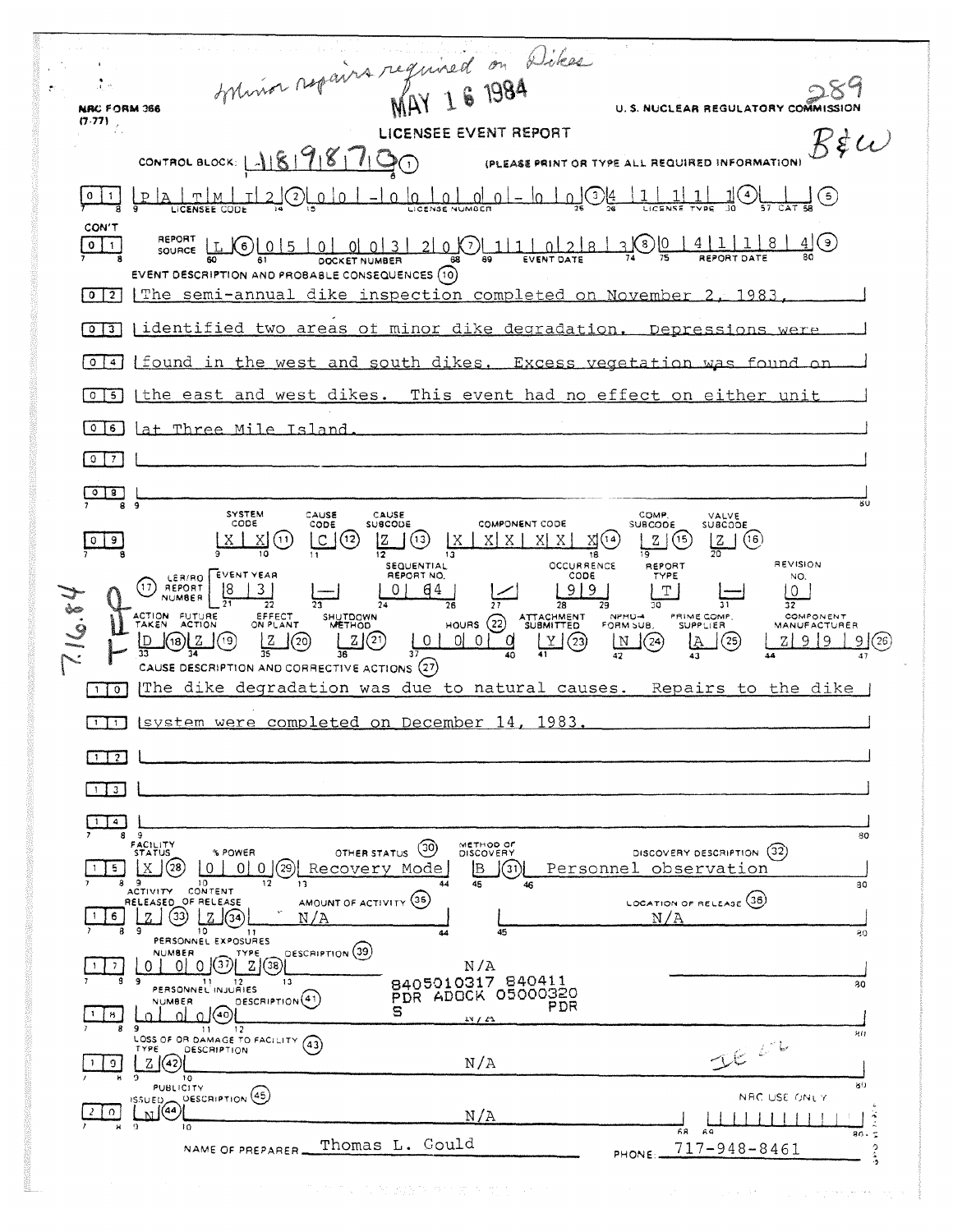Sylvina repairs required on Dikes  $\frac{1}{2}$  $2\,8$ U. S. NUCLEAR REGULATORY COMMISSION NRC FORM 366  $(7.77)$  $B$ \$ $\omega$ CONTROL BLOCK:  $1898790$ (PLEASE PRINT OR TYPE ALL REQUIRED INFORMATION)  $\frac{1}{2}$   $\odot$  $\underbrace{\verb|pla|_{\mathcal{I}}}\verb|ln|_{\mathcal{I}}\verb|ln|_{\mathcal{I}}\verb|ln|_{\mathcal{I}}\verb|ln|_{\mathcal{I}}\verb|ln|_{\mathcal{I}}\verb|ln|_{\mathcal{I}}\verb|ln|_{\mathcal{I}}\verb|ln|_{\mathcal{I}}\verb|ln|_{\mathcal{I}}\verb|ln|_{\mathcal{I}}\verb|ln|_{\mathcal{I}}\verb|ln|_{\mathcal{I}}\verb|ln|_{\mathcal{I}}\verb|ln|_{\mathcal{I}}\verb|ln|_{\mathcal{I}}\verb|ln|_{\mathcal{I}}\verb|ln|_{\mathcal{I}}\$ 1OL <u>|1 | 1 | 1 |</u>  $0 \mid 1$ CON'T REPORT  $L(G)$  0 5 0 0 0 3 2 0 0  $\frac{11}{10}$  0 2 8  $3001411184$  $\boxed{0}$   $\boxed{1}$ EVENT DESCRIPTION AND PROBABLE CONSEQUENCES (10) [0]<sup>2</sup> The semi-annual dike inspection completed on November 2, 1983. [0]3] | identified two areas of minor dike degradation. Depressions 014 [found in the west and south dikes. Excess vegetation was found or [0]5] [the east and west dikes. This event had no effect on either unit 0 6 Lat Three Mile Island  $\sqrt{0}$   $\sqrt{7}$  $\circ$   $\circ$  $801$ SYSTEM<br>CODE CAUSE<br>CODE CAUSE<br>SUBCODE COMP VALVE<br>SUBCODE COMPONENT CODE SUBCODE  $Z(6)$  $\lfloor x \rfloor$   $\lfloor x \rfloor$   $\odot$  $C(G)$  $\boxed{Z}$   $\boxed{3}$   $\boxed{X}$   $\boxed{X}$   $\boxed{X}$   $\boxed{X}$   $\boxed{X}$   $\boxed{X}$   $\boxed{X}$   $\boxed{X}$   $\boxed{Y}$  $Z(5)$ īō  $\frac{1}{18}$  $\overline{20}$ .<br>SEQUENTIAL REVISION OCCURRENCE<br>CODE REPORT (1) REPORT (8 3) REPORT NO. TYPE NO.  $|0|$   $64$  $9|9$  $T$  |  $\boxed{0}$  $\frac{1}{27}$  $\overline{31}$  $\overline{28}$  $\overline{3}\overline{2}$ HOURS (22) ATTACHMENT<br>  $\frac{101018}{27}$  (10) 0 0 0 1<br>  $\frac{1010101}{47}$  (23) ACTION FUTURE EFFECT<br>ON PLANT SHUTDOWN<br>METHOD PRIME COMP.<br>SUPPLIER COMPONENT<br>MANUFACTURER FORM SUB.  $\frac{Z}{35}$ (20)  $L2$  $Z 9 9 9 (26)$  $\underbrace{\mathfrak{p}}_{33}$  (10) $\underbrace{\mathfrak{p}}_{34}$  (10)  $\Box$  (25)  $\boxed{\mathbb{N}}$  (24) IA. CAUSE DESCRIPTION AND CORRECTIVE ACTIONS (27) The dike degradation was due to natural causes. Repairs to the dike  $\sqrt{10}$ [TIT] Isystem were completed on December 14, 1983.  $\Box$  2  $\Box$  $\Box$  3  $\boxed{14}$ 80 FACILITY<br>STATUS OTHER STATUS (30) METHOD OF<br>DISCOVERY DISCOVERY DESCRIPTION (32) % POWER 15 X 3 0 0 0 0 29 Recovery Mode  $B \cup \odot C$ Personnel observation ACTIVITY CONTENT  $\overline{13}$  $\overline{12}$  $\overline{30}$ LOCATION OF RELEASE (36) AMOUNT OF ACTIVITY (35)  $\frac{1}{2}$   $\frac{1}{2}$   $\frac{1}{2}$  3  $\frac{1}{2}$  3  $\frac{1}{2}$  $N/A$  $N/A$ 10 11<br>PERSONNEL EXPOSURES  $\frac{1}{2}0$ 0 0 0 0 3 2 3 DESCRIPTION (39)  $\frac{1}{2}$  $N/A$ 8405010317 840411 PERSONNEL INJURIES  $13$  $\overline{30}$  $\text{C}$ PDR ADOCK 05000320 **NUMBER** PDR  $\Xi$  $1 \mid 8 \mid$ \_ol .o. I 9<br>LOSS OF OR DAMAGE TO FACILITY (43) 80 DESCRIPTION TYPE  $\boxed{Z}$  (42)  $N/A$  $\frac{1}{2}$  $\frac{1}{10}$ DESCRIPTION (45) NRC USE ONLY **LNI**<sup>(44)</sup>  $\begin{bmatrix} 2 & 0 \end{bmatrix}$  $N/A$  $11111$  $58$  $90<sub>1</sub>$ Thomas L. Gould  $717 - 948 - 8461$ NAME OF PREPARER PHONE ...

The first company was a series of the con-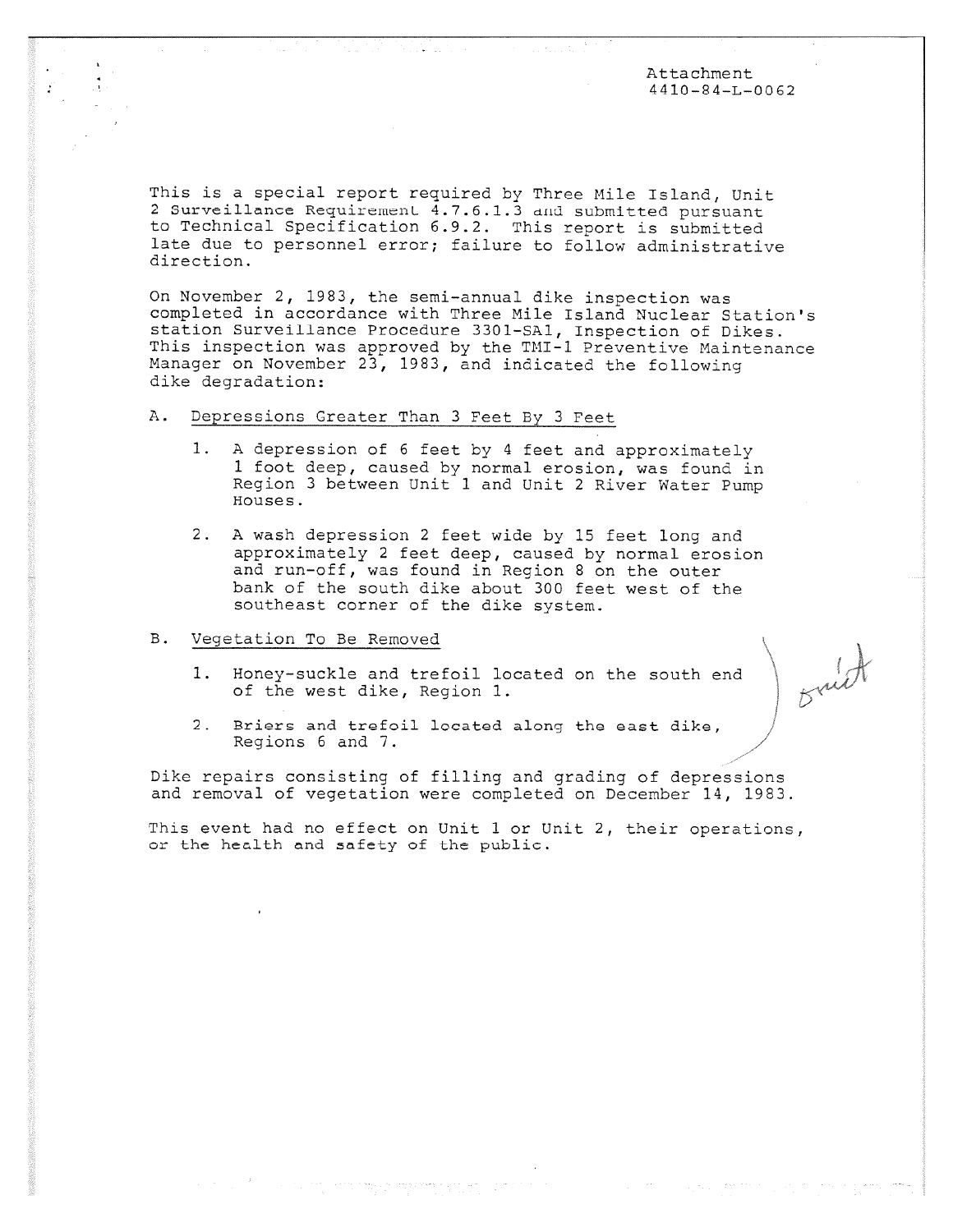Attachment 4410-84-L-0062

Brut

This is a special report required by Three Mile Island, Unit 2 Surveillance Requirement 4.7.6.1.3 and submitted pursuant to Technical Specification 6.9.2. This report is submitted late due to personnel error; failure to follow administrative direction.

On November 2, 1983, the semi-annual dike inspection was completed in accordance with Three Mile Island Nuclear Station's station Surveillance Procedure 3301-SA1, Inspection of Dikes. This inspection was approved by the TMI-1 Preventive Maintenance Manager on November 23, 1983, and indicated the following dike degradation:

## A. Depressions Greater Than 3 Feet By 3 Feet

- 1. A depression of 6 feet by 4 feet and approximately 1 foot deep, caused by normal erosion, was found in Region 3 between Unit 1 and Unit 2 River Water Pump Houses.
- 2. A wash depression 2 feet wide by 15 feet long and approximately 2 feet deep, caused by normal erosion and run-off, was found in Region 8 on the outer bank of the south dike about 300 feet west of the southeast corner of the dike system.

## B. Vegetation To Be Removed

- 1. Honey-suckle and trefoil located on the south end of the west dike, Region 1.
- 2. Briers and trefoil located along the east dike, Regions 6 and 7.

Dike repairs consisting of filling and grading of depressions and removal of vegetation were completed on December 14, 1983.

This event had no effect on Unit 1 or Unit 2, their operations, or the health and safety of the public.

a sa baya a masanggap ngayo sa agrip sa pan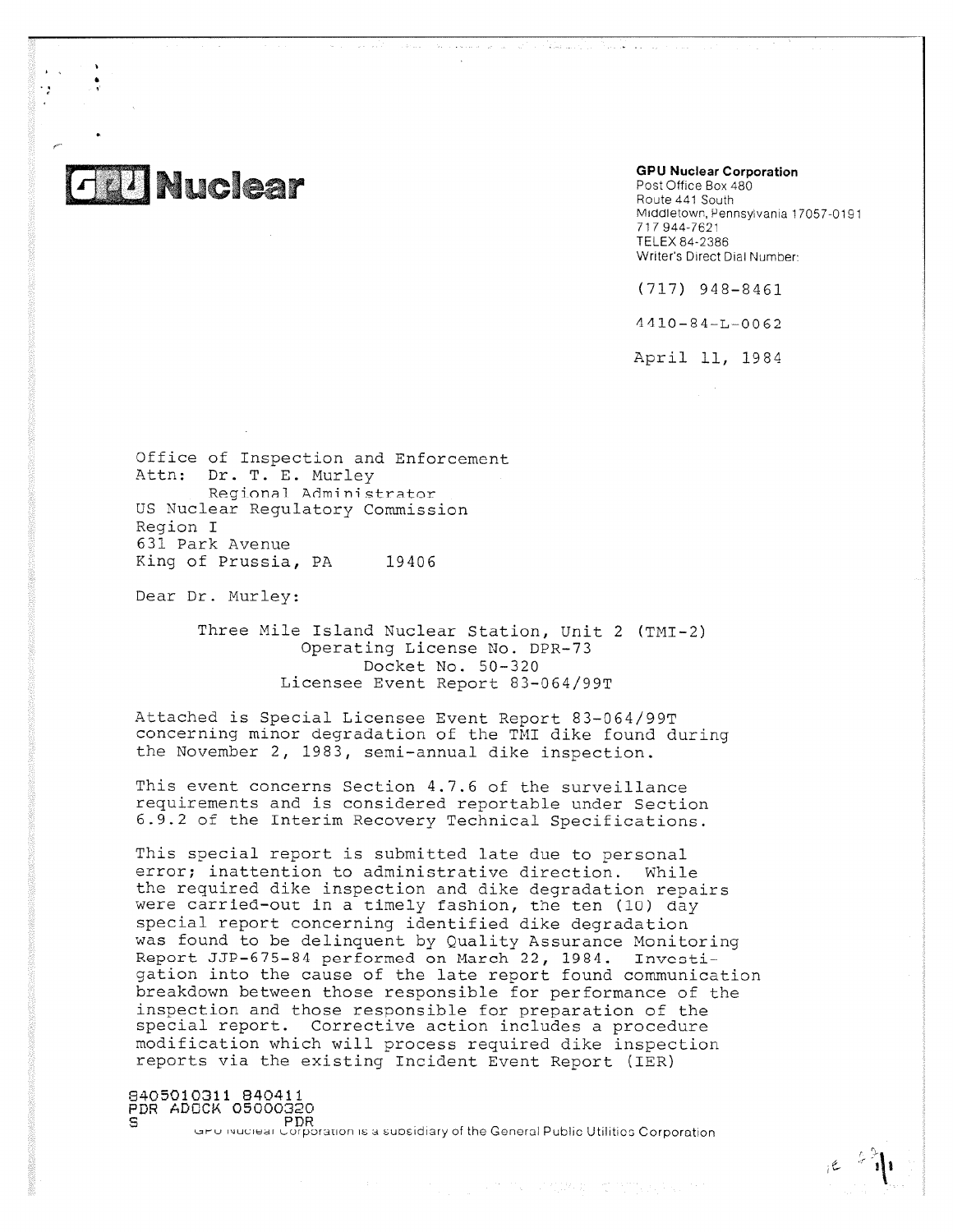

•

**GPU Nuclear Corporation**

المنتقلة المكفاء

Post Office Box 480 Route 441 South Middletown, Pennsylvania 17057-0191 717 944-7621 TELEX 84-2386 Writer's Direct Dial Number:

(717) 948-8461

4410-84-L-0062

April 11, 1984

Office of Inspection and Enforcement Attn: Dr. T. E. Murley Regional Administrator US Nuclear Regulatory Commission Region I 631 Park Avenue King of Prussia, PA 19406

Dear Dr. Murley:

Three Mile Island Nuclear Station, Unit 2 (TMI-2) Operating License No. DPR-73 Docket No. 50-320 Licensee Event Report 83-064/99T

Attached is Special Licensee Event Report 83-064/99T concerning minor degradation of the TMI dike found during the November 2, 1983, semi-annual dike inspection.

This event concerns Section 4.7.6 of the surveillance requirements and is considered reportable under Section 6.9.2 of the Interim Recovery Technical Specifications.

This special report is submitted late due to personal error; inattention to administrative direction. While the required dike inspection and dike degradation repairs were carried-out in a timely fashion, the ten (1U) day special report concerning identified dike degradation was found to be delinquent by Quality Assurance Monitoring Report JJP-675-84 performed on March 22, 1984. Invcotigation into the cause of the late report found communication breakdown between those responsible for performance of the inspection and those responsible for preparation of the special report. Corrective action includes a procedure modification which will process required dike inspection reports via the existing Incident Event Report (IER)

8405010311 840411 PDR ADOCK 05000320<br>S PDR

GPD indicides Corporation is a subsidiary of the General Public Utilities Corporation

クラブレ マガのない てつびしいちいつ